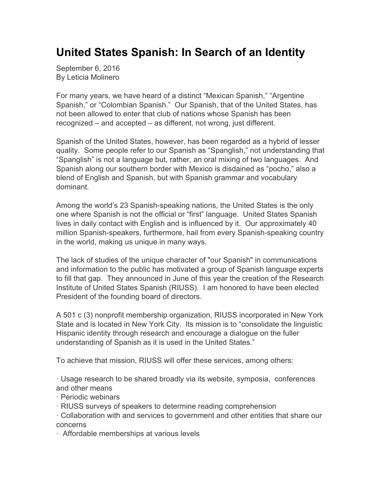## **United States Spanish: In Search of an Identity**

September 6, 2016 By Leticia Molinero

For many years, we have heard of a distinct "Mexican Spanish," "Argentine Spanish," or "Colombian Spanish." Our Spanish, that of the United States, has not been allowed to enter that club of nations whose Spanish has been recognized – and accepted – as different, not wrong, just different.

Spanish of the United States, however, has been regarded as a hybrid of lesser quality. Some people refer to our Spanish as "Spanglish," not understanding that "Spanglish" is not a language but, rather, an oral mixing of two languages. And Spanish along our southern border with Mexico is disdained as "pocho," also a blend of English and Spanish, but with Spanish grammar and vocabulary dominant.

Among the world's 23 Spanish-speaking nations, the United States is the only one where Spanish is not the official or "first" language. United States Spanish lives in daily contact with English and is influenced by it. Our approximately 40 million Spanish-speakers, furthermore, hail from every Spanish-speaking country in the world, making us unique in many ways.

The lack of studies of the unique character of "our Spanish" in communications and information to the public has motivated a group of Spanish language experts to fill that gap. They announced in June of this year the creation of the Research Institute of United States Spanish (RIUSS). I am honored to have been elected President of the founding board of directors.

A 501 c (3) nonprofit membership organization, RIUSS incorporated in New York State and is located in New York City. Its mission is to "consolidate the linguistic Hispanic identity through research and encourage a dialogue on the fuller understanding of Spanish as it is used in the United States."

To achieve that mission, RIUSS will offer these services, among others:

· Usage research to be shared broadly via its website, symposia, conferences and other means

- · Periodic webinars
- · RIUSS surveys of speakers to determine reading comprehension

· Collaboration with and services to government and other entities that share our concerns

· Affordable memberships at various levels